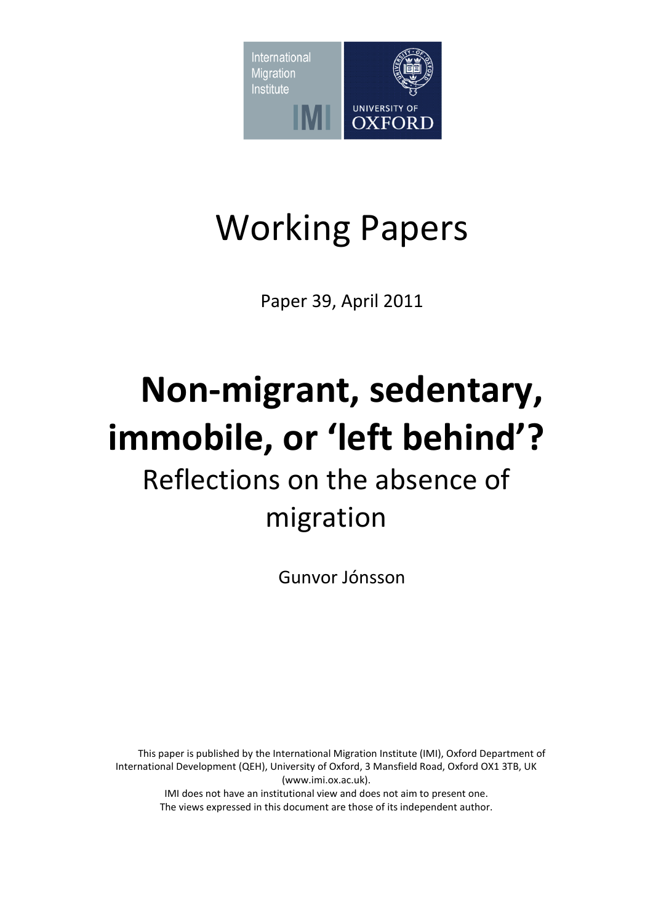

# Working Papers

Paper 39, April 2011

# **Non-migrant, sedentary, immobile, or 'left behind'?**

# Reflections on the absence of migration

Gunvor Jónsson

This paper is published by the International Migration Institute (IMI), Oxford Department of International Development (QEH), University of Oxford, 3 Mansfield Road, Oxford OX1 3TB, UK (www.imi.ox.ac.uk). IMI does not have an institutional view and does not aim to present one. The views expressed in this document are those of its independent author.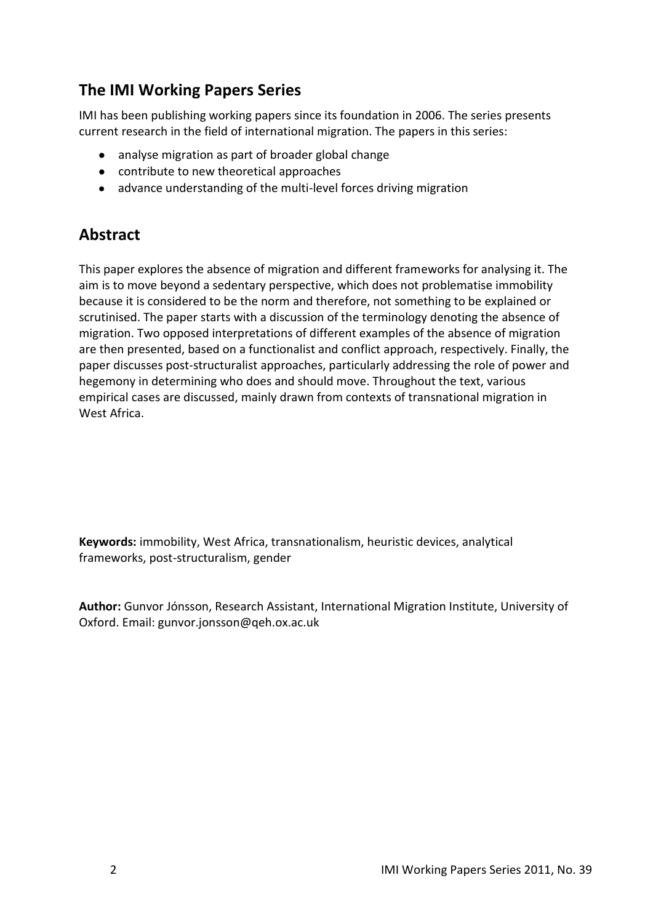# **The IMI Working Papers Series**

IMI has been publishing working papers since its foundation in 2006. The series presents current research in the field of international migration. The papers in this series:

- analyse migration as part of broader global change
- contribute to new theoretical approaches
- advance understanding of the multi-level forces driving migration

### **Abstract**

This paper explores the absence of migration and different frameworks for analysing it. The aim is to move beyond a sedentary perspective, which does not problematise immobility because it is considered to be the norm and therefore, not something to be explained or scrutinised. The paper starts with a discussion of the terminology denoting the absence of migration. Two opposed interpretations of different examples of the absence of migration are then presented, based on a functionalist and conflict approach, respectively. Finally, the paper discusses post-structuralist approaches, particularly addressing the role of power and hegemony in determining who does and should move. Throughout the text, various empirical cases are discussed, mainly drawn from contexts of transnational migration in West Africa.

**Keywords:** immobility, West Africa, transnationalism, heuristic devices, analytical frameworks, post-structuralism, gender

**Author:** Gunvor Jónsson, Research Assistant, International Migration Institute, University of Oxford. Email: gunvor.jonsson@qeh.ox.ac.uk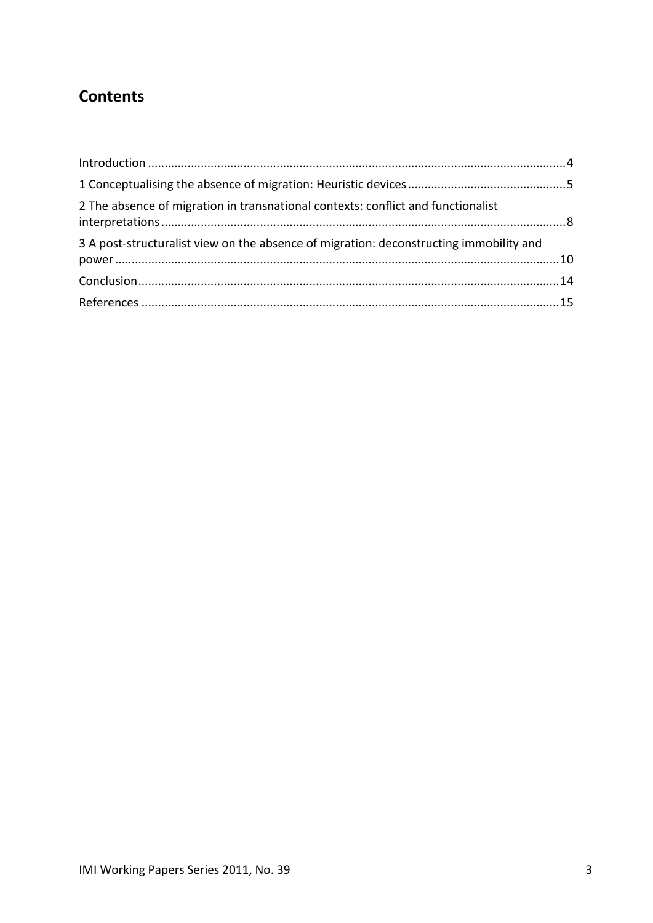# **Contents**

| 2 The absence of migration in transnational contexts: conflict and functionalist       |  |
|----------------------------------------------------------------------------------------|--|
| 3 A post-structuralist view on the absence of migration: deconstructing immobility and |  |
|                                                                                        |  |
|                                                                                        |  |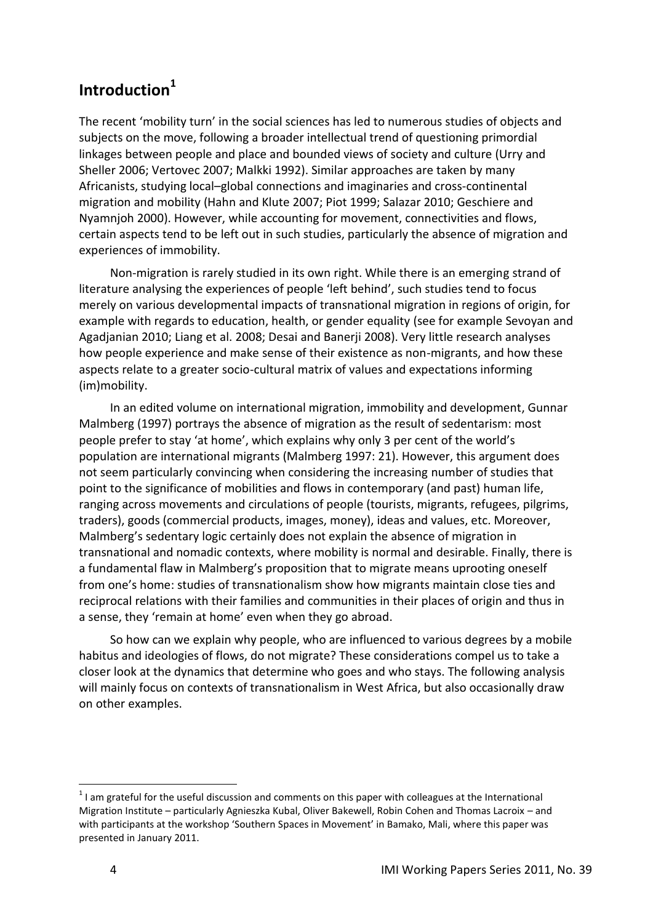### <span id="page-3-0"></span>**Introduction<sup>1</sup>**

The recent 'mobility turn' in the social sciences has led to numerous studies of objects and subjects on the move, following a broader intellectual trend of questioning primordial linkages between people and place and bounded views of society and culture (Urry and Sheller 2006; Vertovec 2007; Malkki 1992). Similar approaches are taken by many Africanists, studying local–global connections and imaginaries and cross-continental migration and mobility (Hahn and Klute 2007; Piot 1999; Salazar 2010; Geschiere and Nyamnjoh 2000). However, while accounting for movement, connectivities and flows, certain aspects tend to be left out in such studies, particularly the absence of migration and experiences of immobility.

Non-migration is rarely studied in its own right. While there is an emerging strand of literature analysing the experiences of people 'left behind', such studies tend to focus merely on various developmental impacts of transnational migration in regions of origin, for example with regards to education, health, or gender equality (see for example Sevoyan and Agadjanian 2010; Liang et al. 2008; Desai and Banerji 2008). Very little research analyses how people experience and make sense of their existence as non-migrants, and how these aspects relate to a greater socio-cultural matrix of values and expectations informing (im)mobility.

In an edited volume on international migration, immobility and development, Gunnar Malmberg (1997) portrays the absence of migration as the result of sedentarism: most people prefer to stay 'at home', which explains why only 3 per cent of the world's population are international migrants (Malmberg 1997: 21). However, this argument does not seem particularly convincing when considering the increasing number of studies that point to the significance of mobilities and flows in contemporary (and past) human life, ranging across movements and circulations of people (tourists, migrants, refugees, pilgrims, traders), goods (commercial products, images, money), ideas and values, etc. Moreover, Malmberg's sedentary logic certainly does not explain the absence of migration in transnational and nomadic contexts, where mobility is normal and desirable. Finally, there is a fundamental flaw in Malmberg's proposition that to migrate means uprooting oneself from one's home: studies of transnationalism show how migrants maintain close ties and reciprocal relations with their families and communities in their places of origin and thus in a sense, they 'remain at home' even when they go abroad.

So how can we explain why people, who are influenced to various degrees by a mobile habitus and ideologies of flows, do not migrate? These considerations compel us to take a closer look at the dynamics that determine who goes and who stays. The following analysis will mainly focus on contexts of transnationalism in West Africa, but also occasionally draw on other examples.

 $1$ I am grateful for the useful discussion and comments on this paper with colleagues at the International Migration Institute – particularly Agnieszka Kubal, Oliver Bakewell, Robin Cohen and Thomas Lacroix – and with participants at the workshop 'Southern Spaces in Movement' in Bamako, Mali, where this paper was presented in January 2011.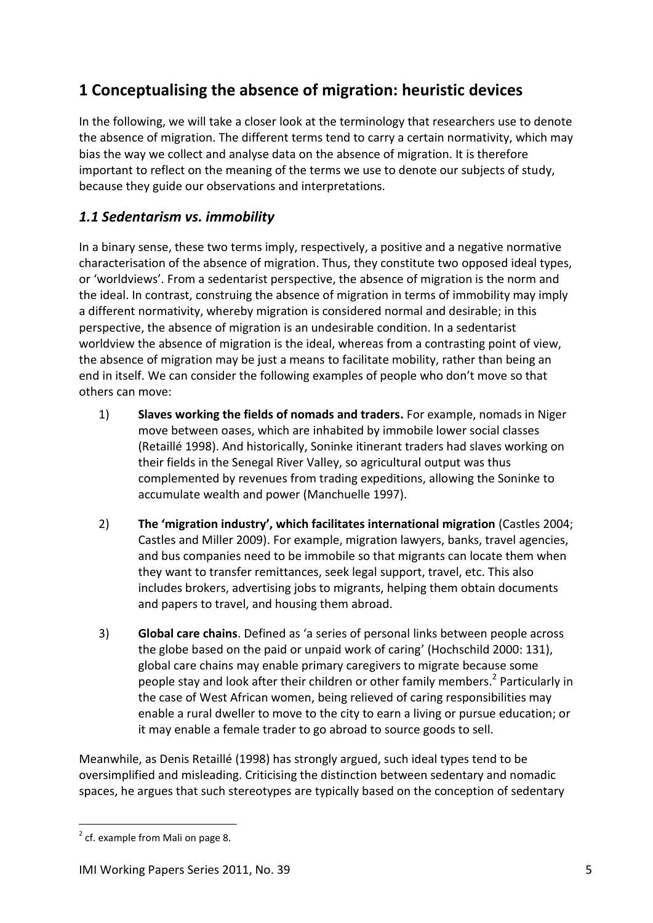# <span id="page-4-0"></span>**1 Conceptualising the absence of migration: heuristic devices**

In the following, we will take a closer look at the terminology that researchers use to denote the absence of migration. The different terms tend to carry a certain normativity, which may bias the way we collect and analyse data on the absence of migration. It is therefore important to reflect on the meaning of the terms we use to denote our subjects of study, because they guide our observations and interpretations.

#### *1.1 Sedentarism vs. immobility*

In a binary sense, these two terms imply, respectively, a positive and a negative normative characterisation of the absence of migration. Thus, they constitute two opposed ideal types, or 'worldviews'. From a sedentarist perspective, the absence of migration is the norm and the ideal. In contrast, construing the absence of migration in terms of immobility may imply a different normativity, whereby migration is considered normal and desirable; in this perspective, the absence of migration is an undesirable condition. In a sedentarist worldview the absence of migration is the ideal, whereas from a contrasting point of view, the absence of migration may be just a means to facilitate mobility, rather than being an end in itself. We can consider the following examples of people who don't move so that others can move:

- 1) **Slaves working the fields of nomads and traders.** For example, nomads in Niger move between oases, which are inhabited by immobile lower social classes (Retaillé 1998). And historically, Soninke itinerant traders had slaves working on their fields in the Senegal River Valley, so agricultural output was thus complemented by revenues from trading expeditions, allowing the Soninke to accumulate wealth and power (Manchuelle 1997).
- 2) **The 'migration industry', which facilitates international migration** (Castles 2004; Castles and Miller 2009). For example, migration lawyers, banks, travel agencies, and bus companies need to be immobile so that migrants can locate them when they want to transfer remittances, seek legal support, travel, etc. This also includes brokers, advertising jobs to migrants, helping them obtain documents and papers to travel, and housing them abroad.
- 3) **Global care chains**. Defined as 'a series of personal links between people across the globe based on the paid or unpaid work of caring' (Hochschild 2000: 131), global care chains may enable primary caregivers to migrate because some people stay and look after their children or other family members.<sup>2</sup> Particularly in the case of West African women, being relieved of caring responsibilities may enable a rural dweller to move to the city to earn a living or pursue education; or it may enable a female trader to go abroad to source goods to sell.

Meanwhile, as Denis Retaillé (1998) has strongly argued, such ideal types tend to be oversimplified and misleading. Criticising the distinction between sedentary and nomadic spaces, he argues that such stereotypes are typically based on the conception of sedentary

1

 $2$  cf. example from Mali on page 8.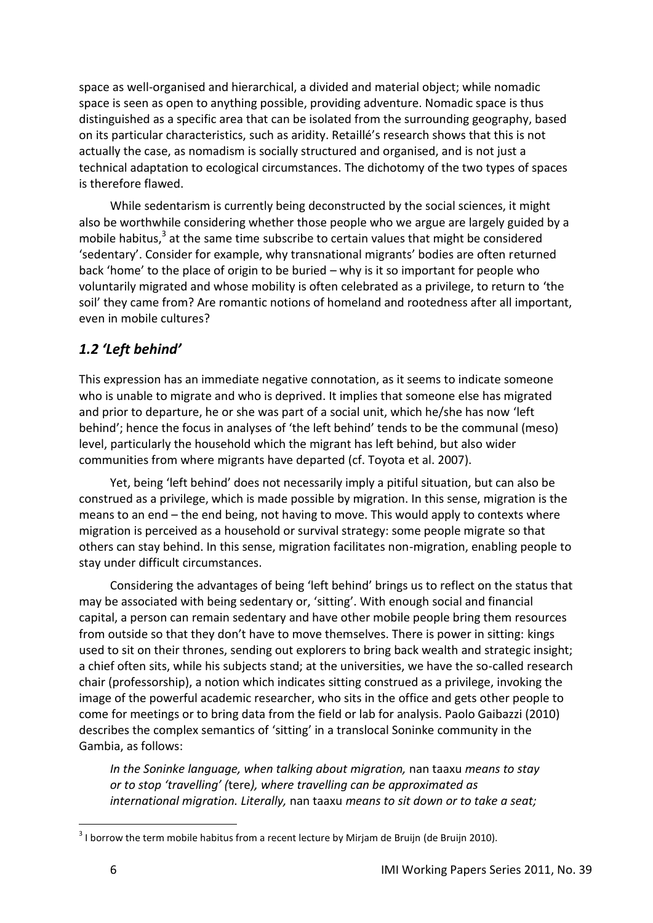space as well-organised and hierarchical, a divided and material object; while nomadic space is seen as open to anything possible, providing adventure. Nomadic space is thus distinguished as a specific area that can be isolated from the surrounding geography, based on its particular characteristics, such as aridity. Retaillé's research shows that this is not actually the case, as nomadism is socially structured and organised, and is not just a technical adaptation to ecological circumstances. The dichotomy of the two types of spaces is therefore flawed.

While sedentarism is currently being deconstructed by the social sciences, it might also be worthwhile considering whether those people who we argue are largely guided by a mobile habitus,<sup>3</sup> at the same time subscribe to certain values that might be considered 'sedentary'. Consider for example, why transnational migrants' bodies are often returned back 'home' to the place of origin to be buried – why is it so important for people who voluntarily migrated and whose mobility is often celebrated as a privilege, to return to 'the soil' they came from? Are romantic notions of homeland and rootedness after all important, even in mobile cultures?

#### *1.2 'Left behind'*

This expression has an immediate negative connotation, as it seems to indicate someone who is unable to migrate and who is deprived. It implies that someone else has migrated and prior to departure, he or she was part of a social unit, which he/she has now 'left behind'; hence the focus in analyses of 'the left behind' tends to be the communal (meso) level, particularly the household which the migrant has left behind, but also wider communities from where migrants have departed (cf. Toyota et al. 2007).

Yet, being 'left behind' does not necessarily imply a pitiful situation, but can also be construed as a privilege, which is made possible by migration. In this sense, migration is the means to an end – the end being, not having to move. This would apply to contexts where migration is perceived as a household or survival strategy: some people migrate so that others can stay behind. In this sense, migration facilitates non-migration, enabling people to stay under difficult circumstances.

Considering the advantages of being 'left behind' brings us to reflect on the status that may be associated with being sedentary or, 'sitting'. With enough social and financial capital, a person can remain sedentary and have other mobile people bring them resources from outside so that they don't have to move themselves. There is power in sitting: kings used to sit on their thrones, sending out explorers to bring back wealth and strategic insight; a chief often sits, while his subjects stand; at the universities, we have the so-called research chair (professorship), a notion which indicates sitting construed as a privilege, invoking the image of the powerful academic researcher, who sits in the office and gets other people to come for meetings or to bring data from the field or lab for analysis. Paolo Gaibazzi (2010) describes the complex semantics of 'sitting' in a translocal Soninke community in the Gambia, as follows:

*In the Soninke language, when talking about migration,* nan taaxu *means to stay or to stop 'travelling' (*tere*), where travelling can be approximated as international migration. Literally,* nan taaxu *means to sit down or to take a seat;* 

1

 $3$  I borrow the term mobile habitus from a recent lecture by Mirjam de Bruijn (de Bruijn 2010).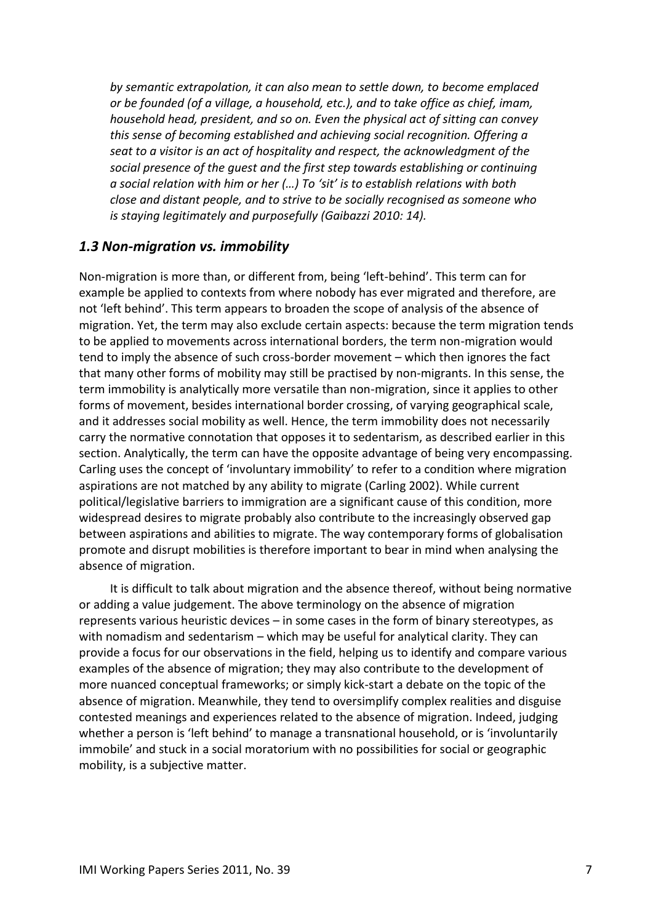*by semantic extrapolation, it can also mean to settle down, to become emplaced or be founded (of a village, a household, etc.), and to take office as chief, imam, household head, president, and so on. Even the physical act of sitting can convey this sense of becoming established and achieving social recognition. Offering a seat to a visitor is an act of hospitality and respect, the acknowledgment of the social presence of the guest and the first step towards establishing or continuing a social relation with him or her (…) To 'sit' is to establish relations with both close and distant people, and to strive to be socially recognised as someone who is staying legitimately and purposefully (Gaibazzi 2010: 14).*

#### *1.3 Non-migration vs. immobility*

Non-migration is more than, or different from, being 'left-behind'. This term can for example be applied to contexts from where nobody has ever migrated and therefore, are not 'left behind'. This term appears to broaden the scope of analysis of the absence of migration. Yet, the term may also exclude certain aspects: because the term migration tends to be applied to movements across international borders, the term non-migration would tend to imply the absence of such cross-border movement – which then ignores the fact that many other forms of mobility may still be practised by non-migrants. In this sense, the term immobility is analytically more versatile than non-migration, since it applies to other forms of movement, besides international border crossing, of varying geographical scale, and it addresses social mobility as well. Hence, the term immobility does not necessarily carry the normative connotation that opposes it to sedentarism, as described earlier in this section. Analytically, the term can have the opposite advantage of being very encompassing. Carling uses the concept of 'involuntary immobility' to refer to a condition where migration aspirations are not matched by any ability to migrate (Carling 2002). While current political/legislative barriers to immigration are a significant cause of this condition, more widespread desires to migrate probably also contribute to the increasingly observed gap between aspirations and abilities to migrate. The way contemporary forms of globalisation promote and disrupt mobilities is therefore important to bear in mind when analysing the absence of migration.

<span id="page-6-0"></span>It is difficult to talk about migration and the absence thereof, without being normative or adding a value judgement. The above terminology on the absence of migration represents various heuristic devices – in some cases in the form of binary stereotypes, as with nomadism and sedentarism – which may be useful for analytical clarity. They can provide a focus for our observations in the field, helping us to identify and compare various examples of the absence of migration; they may also contribute to the development of more nuanced conceptual frameworks; or simply kick-start a debate on the topic of the absence of migration. Meanwhile, they tend to oversimplify complex realities and disguise contested meanings and experiences related to the absence of migration. Indeed, judging whether a person is 'left behind' to manage a transnational household, or is 'involuntarily immobile' and stuck in a social moratorium with no possibilities for social or geographic mobility, is a subjective matter.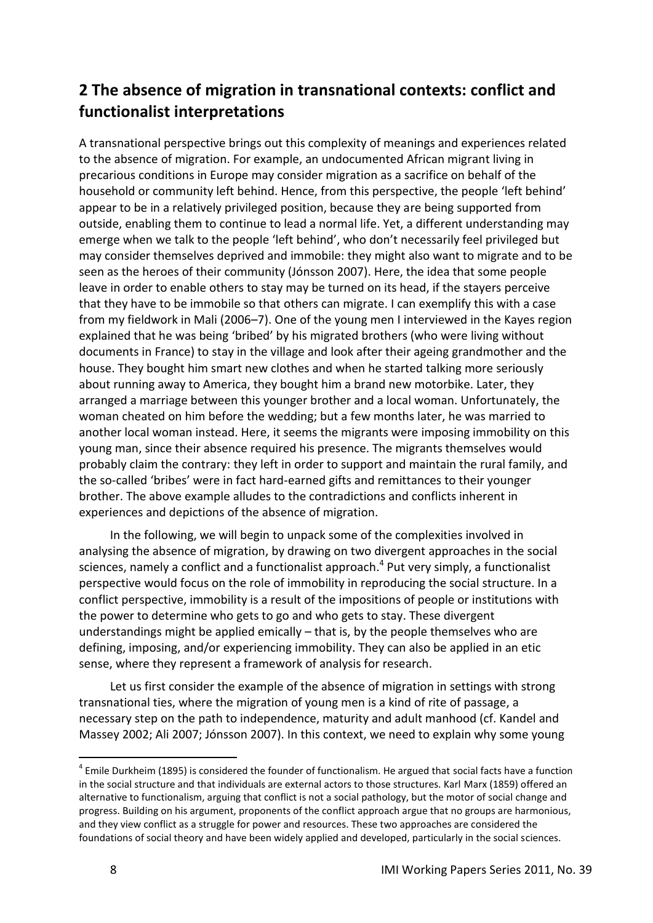# **2 The absence of migration in transnational contexts: conflict and functionalist interpretations**

A transnational perspective brings out this complexity of meanings and experiences related to the absence of migration. For example, an undocumented African migrant living in precarious conditions in Europe may consider migration as a sacrifice on behalf of the household or community left behind. Hence, from this perspective, the people 'left behind' appear to be in a relatively privileged position, because they are being supported from outside, enabling them to continue to lead a normal life. Yet, a different understanding may emerge when we talk to the people 'left behind', who don't necessarily feel privileged but may consider themselves deprived and immobile: they might also want to migrate and to be seen as the heroes of their community (Jónsson 2007). Here, the idea that some people leave in order to enable others to stay may be turned on its head, if the stayers perceive that they have to be immobile so that others can migrate. I can exemplify this with a case from my fieldwork in Mali (2006–7). One of the young men I interviewed in the Kayes region explained that he was being 'bribed' by his migrated brothers (who were living without documents in France) to stay in the village and look after their ageing grandmother and the house. They bought him smart new clothes and when he started talking more seriously about running away to America, they bought him a brand new motorbike. Later, they arranged a marriage between this younger brother and a local woman. Unfortunately, the woman cheated on him before the wedding; but a few months later, he was married to another local woman instead. Here, it seems the migrants were imposing immobility on this young man, since their absence required his presence. The migrants themselves would probably claim the contrary: they left in order to support and maintain the rural family, and the so-called 'bribes' were in fact hard-earned gifts and remittances to their younger brother. The above example alludes to the contradictions and conflicts inherent in experiences and depictions of the absence of migration.

In the following, we will begin to unpack some of the complexities involved in analysing the absence of migration, by drawing on two divergent approaches in the social sciences, namely a conflict and a functionalist approach.<sup>4</sup> Put very simply, a functionalist perspective would focus on the role of immobility in reproducing the social structure. In a conflict perspective, immobility is a result of the impositions of people or institutions with the power to determine who gets to go and who gets to stay. These divergent understandings might be applied emically – that is, by the people themselves who are defining, imposing, and/or experiencing immobility. They can also be applied in an etic sense, where they represent a framework of analysis for research.

Let us first consider the example of the absence of migration in settings with strong transnational ties, where the migration of young men is a kind of rite of passage, a necessary step on the path to independence, maturity and adult manhood (cf. Kandel and Massey 2002; Ali 2007; Jónsson 2007). In this context, we need to explain why some young

 4 Emile Durkheim (1895) is considered the founder of functionalism. He argued that social facts have a function in the social structure and that individuals are external actors to those structures. Karl Marx (1859) offered an alternative to functionalism, arguing that conflict is not a social pathology, but the motor of social change and progress. Building on his argument, proponents of the conflict approach argue that no groups are harmonious, and they view conflict as a struggle for power and resources. These two approaches are considered the foundations of social theory and have been widely applied and developed, particularly in the social sciences.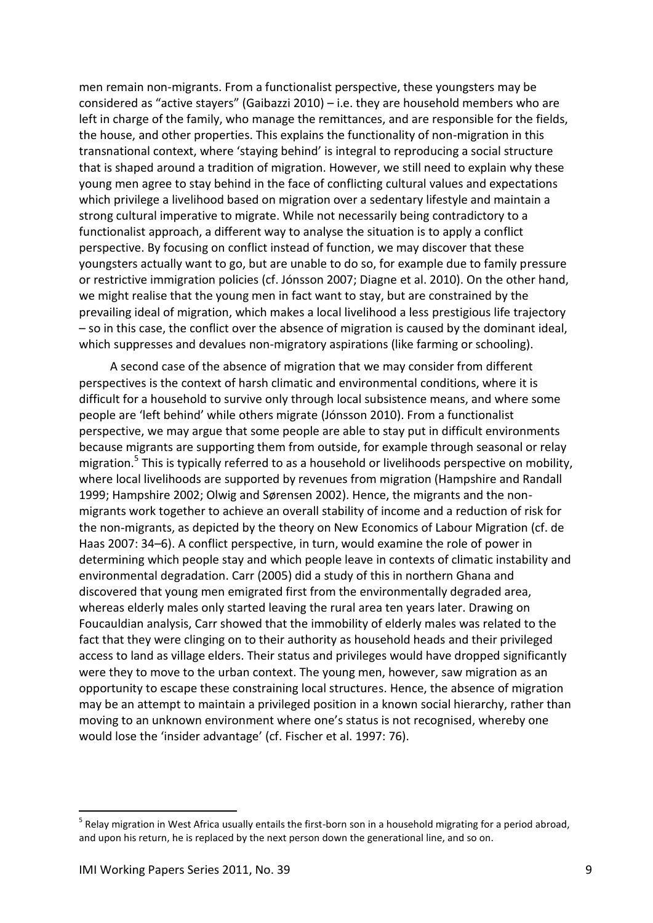men remain non-migrants. From a functionalist perspective, these youngsters may be considered as "active stayers" (Gaibazzi 2010) – i.e. they are household members who are left in charge of the family, who manage the remittances, and are responsible for the fields, the house, and other properties. This explains the functionality of non-migration in this transnational context, where 'staying behind' is integral to reproducing a social structure that is shaped around a tradition of migration. However, we still need to explain why these young men agree to stay behind in the face of conflicting cultural values and expectations which privilege a livelihood based on migration over a sedentary lifestyle and maintain a strong cultural imperative to migrate. While not necessarily being contradictory to a functionalist approach, a different way to analyse the situation is to apply a conflict perspective. By focusing on conflict instead of function, we may discover that these youngsters actually want to go, but are unable to do so, for example due to family pressure or restrictive immigration policies (cf. Jónsson 2007; Diagne et al. 2010). On the other hand, we might realise that the young men in fact want to stay, but are constrained by the prevailing ideal of migration, which makes a local livelihood a less prestigious life trajectory – so in this case, the conflict over the absence of migration is caused by the dominant ideal, which suppresses and devalues non-migratory aspirations (like farming or schooling).

A second case of the absence of migration that we may consider from different perspectives is the context of harsh climatic and environmental conditions, where it is difficult for a household to survive only through local subsistence means, and where some people are 'left behind' while others migrate (Jónsson 2010). From a functionalist perspective, we may argue that some people are able to stay put in difficult environments because migrants are supporting them from outside, for example through seasonal or relay migration.<sup>5</sup> This is typically referred to as a household or livelihoods perspective on mobility, where local livelihoods are supported by revenues from migration (Hampshire and Randall 1999; Hampshire 2002; Olwig and Sørensen 2002). Hence, the migrants and the nonmigrants work together to achieve an overall stability of income and a reduction of risk for the non-migrants, as depicted by the theory on New Economics of Labour Migration (cf. de Haas 2007: 34–6). A conflict perspective, in turn, would examine the role of power in determining which people stay and which people leave in contexts of climatic instability and environmental degradation. Carr (2005) did a study of this in northern Ghana and discovered that young men emigrated first from the environmentally degraded area, whereas elderly males only started leaving the rural area ten years later. Drawing on Foucauldian analysis, Carr showed that the immobility of elderly males was related to the fact that they were clinging on to their authority as household heads and their privileged access to land as village elders. Their status and privileges would have dropped significantly were they to move to the urban context. The young men, however, saw migration as an opportunity to escape these constraining local structures. Hence, the absence of migration may be an attempt to maintain a privileged position in a known social hierarchy, rather than moving to an unknown environment where one's status is not recognised, whereby one would lose the 'insider advantage' (cf. Fischer et al. 1997: 76).

<span id="page-8-0"></span><sup>&</sup>lt;sup>5</sup> Relay migration in West Africa usually entails the first-born son in a household migrating for a period abroad, and upon his return, he is replaced by the next person down the generational line, and so on.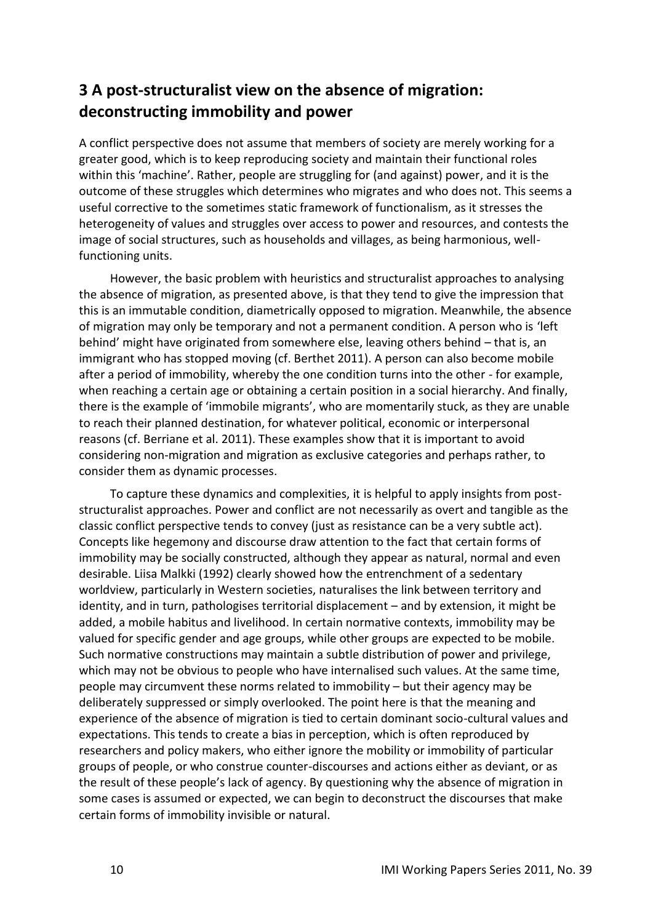# **3 A post-structuralist view on the absence of migration: deconstructing immobility and power**

A conflict perspective does not assume that members of society are merely working for a greater good, which is to keep reproducing society and maintain their functional roles within this 'machine'. Rather, people are struggling for (and against) power, and it is the outcome of these struggles which determines who migrates and who does not. This seems a useful corrective to the sometimes static framework of functionalism, as it stresses the heterogeneity of values and struggles over access to power and resources, and contests the image of social structures, such as households and villages, as being harmonious, wellfunctioning units.

However, the basic problem with heuristics and structuralist approaches to analysing the absence of migration, as presented above, is that they tend to give the impression that this is an immutable condition, diametrically opposed to migration. Meanwhile, the absence of migration may only be temporary and not a permanent condition. A person who is 'left behind' might have originated from somewhere else, leaving others behind – that is, an immigrant who has stopped moving (cf. Berthet 2011). A person can also become mobile after a period of immobility, whereby the one condition turns into the other - for example, when reaching a certain age or obtaining a certain position in a social hierarchy. And finally, there is the example of 'immobile migrants', who are momentarily stuck, as they are unable to reach their planned destination, for whatever political, economic or interpersonal reasons (cf. Berriane et al. 2011). These examples show that it is important to avoid considering non-migration and migration as exclusive categories and perhaps rather, to consider them as dynamic processes.

To capture these dynamics and complexities, it is helpful to apply insights from poststructuralist approaches. Power and conflict are not necessarily as overt and tangible as the classic conflict perspective tends to convey (just as resistance can be a very subtle act). Concepts like hegemony and discourse draw attention to the fact that certain forms of immobility may be socially constructed, although they appear as natural, normal and even desirable. Liisa Malkki (1992) clearly showed how the entrenchment of a sedentary worldview, particularly in Western societies, naturalises the link between territory and identity, and in turn, pathologises territorial displacement – and by extension, it might be added, a mobile habitus and livelihood. In certain normative contexts, immobility may be valued for specific gender and age groups, while other groups are expected to be mobile. Such normative constructions may maintain a subtle distribution of power and privilege, which may not be obvious to people who have internalised such values. At the same time, people may circumvent these norms related to immobility – but their agency may be deliberately suppressed or simply overlooked. The point here is that the meaning and experience of the absence of migration is tied to certain dominant socio-cultural values and expectations. This tends to create a bias in perception, which is often reproduced by researchers and policy makers, who either ignore the mobility or immobility of particular groups of people, or who construe counter-discourses and actions either as deviant, or as the result of these people's lack of agency. By questioning why the absence of migration in some cases is assumed or expected, we can begin to deconstruct the discourses that make certain forms of immobility invisible or natural.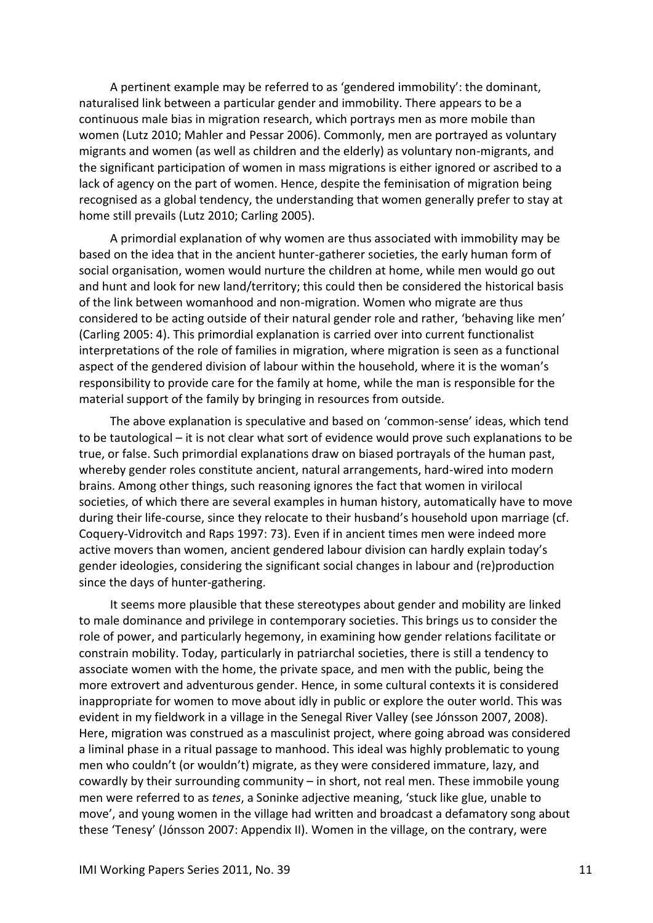A pertinent example may be referred to as 'gendered immobility': the dominant, naturalised link between a particular gender and immobility. There appears to be a continuous male bias in migration research, which portrays men as more mobile than women (Lutz 2010; Mahler and Pessar 2006). Commonly, men are portrayed as voluntary migrants and women (as well as children and the elderly) as voluntary non-migrants, and the significant participation of women in mass migrations is either ignored or ascribed to a lack of agency on the part of women. Hence, despite the feminisation of migration being recognised as a global tendency, the understanding that women generally prefer to stay at home still prevails (Lutz 2010; Carling 2005).

A primordial explanation of why women are thus associated with immobility may be based on the idea that in the ancient hunter-gatherer societies, the early human form of social organisation, women would nurture the children at home, while men would go out and hunt and look for new land/territory; this could then be considered the historical basis of the link between womanhood and non-migration. Women who migrate are thus considered to be acting outside of their natural gender role and rather, 'behaving like men' (Carling 2005: 4). This primordial explanation is carried over into current functionalist interpretations of the role of families in migration, where migration is seen as a functional aspect of the gendered division of labour within the household, where it is the woman's responsibility to provide care for the family at home, while the man is responsible for the material support of the family by bringing in resources from outside.

The above explanation is speculative and based on 'common-sense' ideas, which tend to be tautological – it is not clear what sort of evidence would prove such explanations to be true, or false. Such primordial explanations draw on biased portrayals of the human past, whereby gender roles constitute ancient, natural arrangements, hard-wired into modern brains. Among other things, such reasoning ignores the fact that women in virilocal societies, of which there are several examples in human history, automatically have to move during their life-course, since they relocate to their husband's household upon marriage (cf. Coquery-Vidrovitch and Raps 1997: 73). Even if in ancient times men were indeed more active movers than women, ancient gendered labour division can hardly explain today's gender ideologies, considering the significant social changes in labour and (re)production since the days of hunter-gathering.

It seems more plausible that these stereotypes about gender and mobility are linked to male dominance and privilege in contemporary societies. This brings us to consider the role of power, and particularly hegemony, in examining how gender relations facilitate or constrain mobility. Today, particularly in patriarchal societies, there is still a tendency to associate women with the home, the private space, and men with the public, being the more extrovert and adventurous gender. Hence, in some cultural contexts it is considered inappropriate for women to move about idly in public or explore the outer world. This was evident in my fieldwork in a village in the Senegal River Valley (see Jónsson 2007, 2008). Here, migration was construed as a masculinist project, where going abroad was considered a liminal phase in a ritual passage to manhood. This ideal was highly problematic to young men who couldn't (or wouldn't) migrate, as they were considered immature, lazy, and cowardly by their surrounding community – in short, not real men. These immobile young men were referred to as *tenes*, a Soninke adjective meaning, 'stuck like glue, unable to move', and young women in the village had written and broadcast a defamatory song about these 'Tenesy' (Jónsson 2007: Appendix II). Women in the village, on the contrary, were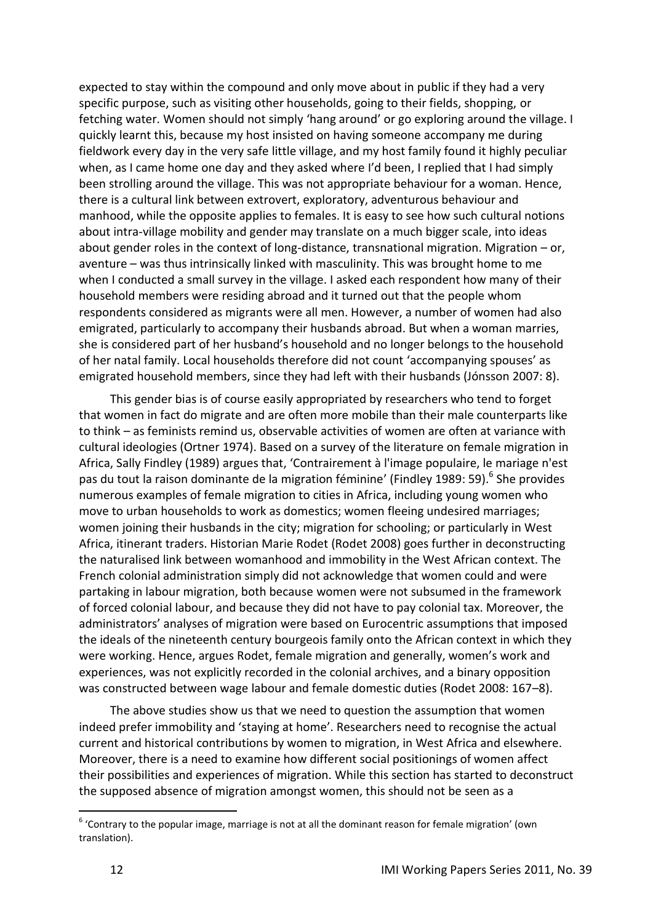expected to stay within the compound and only move about in public if they had a very specific purpose, such as visiting other households, going to their fields, shopping, or fetching water. Women should not simply 'hang around' or go exploring around the village. I quickly learnt this, because my host insisted on having someone accompany me during fieldwork every day in the very safe little village, and my host family found it highly peculiar when, as I came home one day and they asked where I'd been, I replied that I had simply been strolling around the village. This was not appropriate behaviour for a woman. Hence, there is a cultural link between extrovert, exploratory, adventurous behaviour and manhood, while the opposite applies to females. It is easy to see how such cultural notions about intra-village mobility and gender may translate on a much bigger scale, into ideas about gender roles in the context of long-distance, transnational migration. Migration – or, aventure – was thus intrinsically linked with masculinity. This was brought home to me when I conducted a small survey in the village. I asked each respondent how many of their household members were residing abroad and it turned out that the people whom respondents considered as migrants were all men. However, a number of women had also emigrated, particularly to accompany their husbands abroad. But when a woman marries, she is considered part of her husband's household and no longer belongs to the household of her natal family. Local households therefore did not count 'accompanying spouses' as emigrated household members, since they had left with their husbands (Jónsson 2007: 8).

This gender bias is of course easily appropriated by researchers who tend to forget that women in fact do migrate and are often more mobile than their male counterparts like to think – as feminists remind us, observable activities of women are often at variance with cultural ideologies (Ortner 1974). Based on a survey of the literature on female migration in Africa, Sally Findley (1989) argues that, 'Contrairement à l'image populaire, le mariage n'est pas du tout la raison dominante de la migration féminine' (Findley 1989: 59).<sup>6</sup> She provides numerous examples of female migration to cities in Africa, including young women who move to urban households to work as domestics; women fleeing undesired marriages; women joining their husbands in the city; migration for schooling; or particularly in West Africa, itinerant traders. Historian Marie Rodet (Rodet 2008) goes further in deconstructing the naturalised link between womanhood and immobility in the West African context. The French colonial administration simply did not acknowledge that women could and were partaking in labour migration, both because women were not subsumed in the framework of forced colonial labour, and because they did not have to pay colonial tax. Moreover, the administrators' analyses of migration were based on Eurocentric assumptions that imposed the ideals of the nineteenth century bourgeois family onto the African context in which they were working. Hence, argues Rodet, female migration and generally, women's work and experiences, was not explicitly recorded in the colonial archives, and a binary opposition was constructed between wage labour and female domestic duties (Rodet 2008: 167–8).

The above studies show us that we need to question the assumption that women indeed prefer immobility and 'staying at home'. Researchers need to recognise the actual current and historical contributions by women to migration, in West Africa and elsewhere. Moreover, there is a need to examine how different social positionings of women affect their possibilities and experiences of migration. While this section has started to deconstruct the supposed absence of migration amongst women, this should not be seen as a

 $<sup>6</sup>$  'Contrary to the popular image, marriage is not at all the dominant reason for female migration' (own</sup> translation).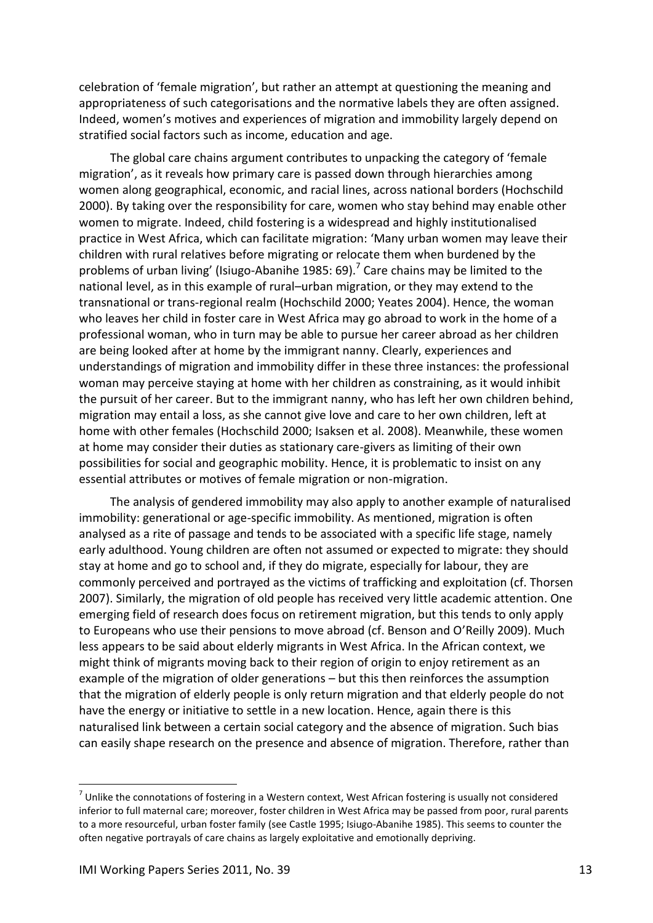celebration of 'female migration', but rather an attempt at questioning the meaning and appropriateness of such categorisations and the normative labels they are often assigned. Indeed, women's motives and experiences of migration and immobility largely depend on stratified social factors such as income, education and age.

The global care chains argument contributes to unpacking the category of 'female migration', as it reveals how primary care is passed down through hierarchies among women along geographical, economic, and racial lines, across national borders (Hochschild 2000). By taking over the responsibility for care, women who stay behind may enable other women to migrate. Indeed, child fostering is a widespread and highly institutionalised practice in West Africa, which can facilitate migration: 'Many urban women may leave their children with rural relatives before migrating or relocate them when burdened by the problems of urban living' (Isiugo-Abanihe 1985: 69).<sup>7</sup> Care chains may be limited to the national level, as in this example of rural–urban migration, or they may extend to the transnational or trans-regional realm (Hochschild 2000; Yeates 2004). Hence, the woman who leaves her child in foster care in West Africa may go abroad to work in the home of a professional woman, who in turn may be able to pursue her career abroad as her children are being looked after at home by the immigrant nanny. Clearly, experiences and understandings of migration and immobility differ in these three instances: the professional woman may perceive staying at home with her children as constraining, as it would inhibit the pursuit of her career. But to the immigrant nanny, who has left her own children behind, migration may entail a loss, as she cannot give love and care to her own children, left at home with other females (Hochschild 2000; Isaksen et al. 2008). Meanwhile, these women at home may consider their duties as stationary care-givers as limiting of their own possibilities for social and geographic mobility. Hence, it is problematic to insist on any essential attributes or motives of female migration or non-migration.

The analysis of gendered immobility may also apply to another example of naturalised immobility: generational or age-specific immobility. As mentioned, migration is often analysed as a rite of passage and tends to be associated with a specific life stage, namely early adulthood. Young children are often not assumed or expected to migrate: they should stay at home and go to school and, if they do migrate, especially for labour, they are commonly perceived and portrayed as the victims of trafficking and exploitation (cf. Thorsen 2007). Similarly, the migration of old people has received very little academic attention. One emerging field of research does focus on retirement migration, but this tends to only apply to Europeans who use their pensions to move abroad (cf. Benson and O'Reilly 2009). Much less appears to be said about elderly migrants in West Africa. In the African context, we might think of migrants moving back to their region of origin to enjoy retirement as an example of the migration of older generations – but this then reinforces the assumption that the migration of elderly people is only return migration and that elderly people do not have the energy or initiative to settle in a new location. Hence, again there is this naturalised link between a certain social category and the absence of migration. Such bias can easily shape research on the presence and absence of migration. Therefore, rather than

 $<sup>7</sup>$  Unlike the connotations of fostering in a Western context, West African fostering is usually not considered</sup> inferior to full maternal care; moreover, foster children in West Africa may be passed from poor, rural parents to a more resourceful, urban foster family (see Castle 1995; Isiugo-Abanihe 1985). This seems to counter the often negative portrayals of care chains as largely exploitative and emotionally depriving.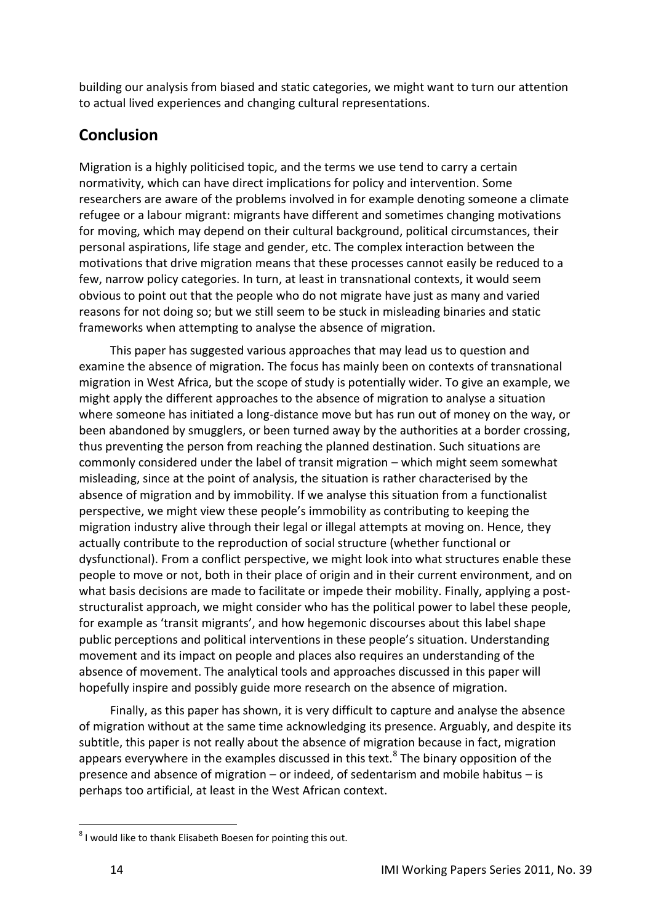building our analysis from biased and static categories, we might want to turn our attention to actual lived experiences and changing cultural representations.

# <span id="page-13-0"></span>**Conclusion**

Migration is a highly politicised topic, and the terms we use tend to carry a certain normativity, which can have direct implications for policy and intervention. Some researchers are aware of the problems involved in for example denoting someone a climate refugee or a labour migrant: migrants have different and sometimes changing motivations for moving, which may depend on their cultural background, political circumstances, their personal aspirations, life stage and gender, etc. The complex interaction between the motivations that drive migration means that these processes cannot easily be reduced to a few, narrow policy categories. In turn, at least in transnational contexts, it would seem obvious to point out that the people who do not migrate have just as many and varied reasons for not doing so; but we still seem to be stuck in misleading binaries and static frameworks when attempting to analyse the absence of migration.

This paper has suggested various approaches that may lead us to question and examine the absence of migration. The focus has mainly been on contexts of transnational migration in West Africa, but the scope of study is potentially wider. To give an example, we might apply the different approaches to the absence of migration to analyse a situation where someone has initiated a long-distance move but has run out of money on the way, or been abandoned by smugglers, or been turned away by the authorities at a border crossing, thus preventing the person from reaching the planned destination. Such situations are commonly considered under the label of transit migration – which might seem somewhat misleading, since at the point of analysis, the situation is rather characterised by the absence of migration and by immobility. If we analyse this situation from a functionalist perspective, we might view these people's immobility as contributing to keeping the migration industry alive through their legal or illegal attempts at moving on. Hence, they actually contribute to the reproduction of social structure (whether functional or dysfunctional). From a conflict perspective, we might look into what structures enable these people to move or not, both in their place of origin and in their current environment, and on what basis decisions are made to facilitate or impede their mobility. Finally, applying a poststructuralist approach, we might consider who has the political power to label these people, for example as 'transit migrants', and how hegemonic discourses about this label shape public perceptions and political interventions in these people's situation. Understanding movement and its impact on people and places also requires an understanding of the absence of movement. The analytical tools and approaches discussed in this paper will hopefully inspire and possibly guide more research on the absence of migration.

Finally, as this paper has shown, it is very difficult to capture and analyse the absence of migration without at the same time acknowledging its presence. Arguably, and despite its subtitle, this paper is not really about the absence of migration because in fact, migration appears everywhere in the examples discussed in this text. $8$  The binary opposition of the presence and absence of migration – or indeed, of sedentarism and mobile habitus – is perhaps too artificial, at least in the West African context.

1

 $8$  I would like to thank Elisabeth Boesen for pointing this out.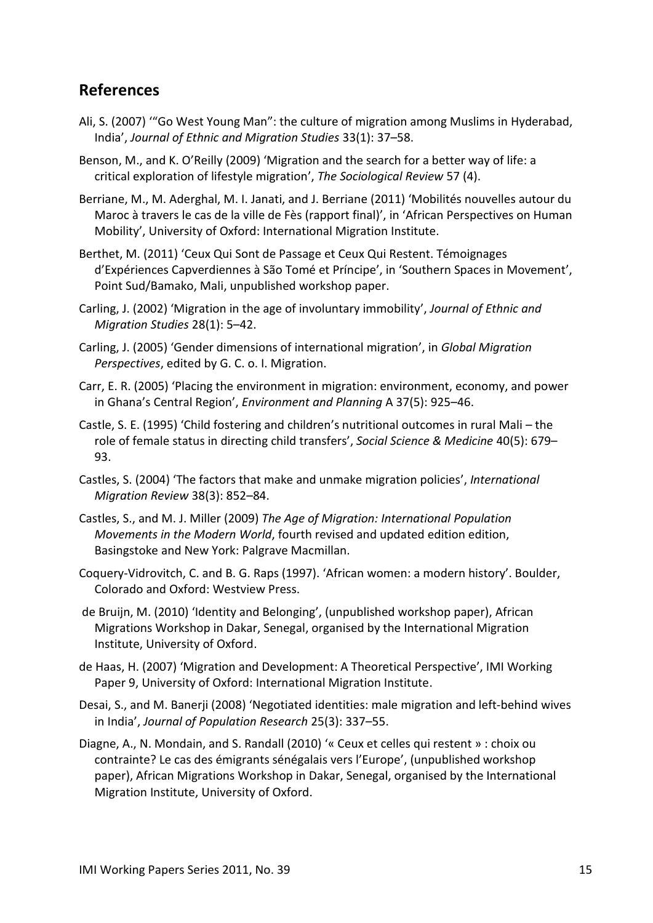#### <span id="page-14-0"></span>**References**

- Ali, S. (2007) '"Go West Young Man": the culture of migration among Muslims in Hyderabad, India', *Journal of Ethnic and Migration Studies* 33(1): 37–58.
- Benson, M., and K. O'Reilly (2009) 'Migration and the search for a better way of life: a critical exploration of lifestyle migration', *The Sociological Review* 57 (4).
- Berriane, M., M. Aderghal, M. I. Janati, and J. Berriane (2011) 'Mobilités nouvelles autour du Maroc à travers le cas de la ville de Fès (rapport final)', in 'African Perspectives on Human Mobility', University of Oxford: International Migration Institute.
- Berthet, M. (2011) 'Ceux Qui Sont de Passage et Ceux Qui Restent. Témoignages d'Expériences Capverdiennes à São Tomé et Príncipe', in 'Southern Spaces in Movement', Point Sud/Bamako, Mali, unpublished workshop paper.
- Carling, J. (2002) 'Migration in the age of involuntary immobility', *Journal of Ethnic and Migration Studies* 28(1): 5–42.
- Carling, J. (2005) 'Gender dimensions of international migration', in *Global Migration Perspectives*, edited by G. C. o. I. Migration.
- Carr, E. R. (2005) 'Placing the environment in migration: environment, economy, and power in Ghana's Central Region', *Environment and Planning* A 37(5): 925–46.
- Castle, S. E. (1995) 'Child fostering and children's nutritional outcomes in rural Mali the role of female status in directing child transfers', *Social Science & Medicine* 40(5): 679– 93.
- Castles, S. (2004) 'The factors that make and unmake migration policies', *International Migration Review* 38(3): 852–84.
- Castles, S., and M. J. Miller (2009) *The Age of Migration: International Population Movements in the Modern World*, fourth revised and updated edition edition, Basingstoke and New York: Palgrave Macmillan.
- Coquery-Vidrovitch, C. and B. G. Raps (1997). 'African women: a modern history'. Boulder, Colorado and Oxford: Westview Press.
- de Bruijn, M. (2010) 'Identity and Belonging', (unpublished workshop paper), African Migrations Workshop in Dakar, Senegal, organised by the International Migration Institute, University of Oxford.
- de Haas, H. (2007) 'Migration and Development: A Theoretical Perspective', IMI Working Paper 9, University of Oxford: International Migration Institute.
- Desai, S., and M. Banerji (2008) 'Negotiated identities: male migration and left-behind wives in India', *Journal of Population Research* 25(3): 337–55.
- Diagne, A., N. Mondain, and S. Randall (2010) '« Ceux et celles qui restent » : choix ou contrainte? Le cas des émigrants sénégalais vers l'Europe', (unpublished workshop paper), African Migrations Workshop in Dakar, Senegal, organised by the International Migration Institute, University of Oxford.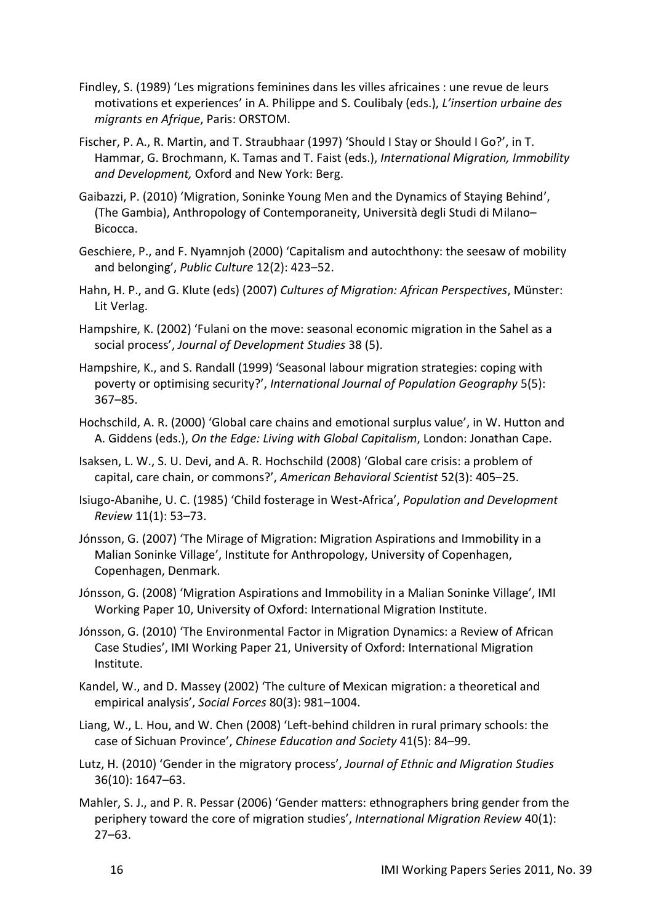- Findley, S. (1989) 'Les migrations feminines dans les villes africaines : une revue de leurs motivations et experiences' in A. Philippe and S. Coulibaly (eds.), *L'insertion urbaine des migrants en Afrique*, Paris: ORSTOM.
- Fischer, P. A., R. Martin, and T. Straubhaar (1997) 'Should I Stay or Should I Go?', in T. Hammar, G. Brochmann, K. Tamas and T. Faist (eds.), *International Migration, Immobility and Development,* Oxford and New York: Berg.
- Gaibazzi, P. (2010) 'Migration, Soninke Young Men and the Dynamics of Staying Behind', (The Gambia), Anthropology of Contemporaneity, Università degli Studi di Milano– Bicocca.
- Geschiere, P., and F. Nyamnjoh (2000) 'Capitalism and autochthony: the seesaw of mobility and belonging', *Public Culture* 12(2): 423–52.
- Hahn, H. P., and G. Klute (eds) (2007) *Cultures of Migration: African Perspectives*, Münster: Lit Verlag.
- Hampshire, K. (2002) 'Fulani on the move: seasonal economic migration in the Sahel as a social process', *Journal of Development Studies* 38 (5).
- Hampshire, K., and S. Randall (1999) 'Seasonal labour migration strategies: coping with poverty or optimising security?', *International Journal of Population Geography* 5(5): 367–85.
- Hochschild, A. R. (2000) 'Global care chains and emotional surplus value', in W. Hutton and A. Giddens (eds.), *On the Edge: Living with Global Capitalism*, London: Jonathan Cape.
- Isaksen, L. W., S. U. Devi, and A. R. Hochschild (2008) 'Global care crisis: a problem of capital, care chain, or commons?', *American Behavioral Scientist* 52(3): 405–25.
- Isiugo-Abanihe, U. C. (1985) 'Child fosterage in West-Africa', *Population and Development Review* 11(1): 53–73.
- Jónsson, G. (2007) 'The Mirage of Migration: Migration Aspirations and Immobility in a Malian Soninke Village', Institute for Anthropology, University of Copenhagen, Copenhagen, Denmark.
- Jónsson, G. (2008) 'Migration Aspirations and Immobility in a Malian Soninke Village', IMI Working Paper 10, University of Oxford: International Migration Institute.
- Jónsson, G. (2010) 'The Environmental Factor in Migration Dynamics: a Review of African Case Studies', IMI Working Paper 21, University of Oxford: International Migration Institute.
- Kandel, W., and D. Massey (2002) 'The culture of Mexican migration: a theoretical and empirical analysis', *Social Forces* 80(3): 981–1004.
- Liang, W., L. Hou, and W. Chen (2008) 'Left-behind children in rural primary schools: the case of Sichuan Province', *Chinese Education and Society* 41(5): 84–99.
- Lutz, H. (2010) 'Gender in the migratory process', *Journal of Ethnic and Migration Studies* 36(10): 1647–63.
- Mahler, S. J., and P. R. Pessar (2006) 'Gender matters: ethnographers bring gender from the periphery toward the core of migration studies', *International Migration Review* 40(1): 27–63.